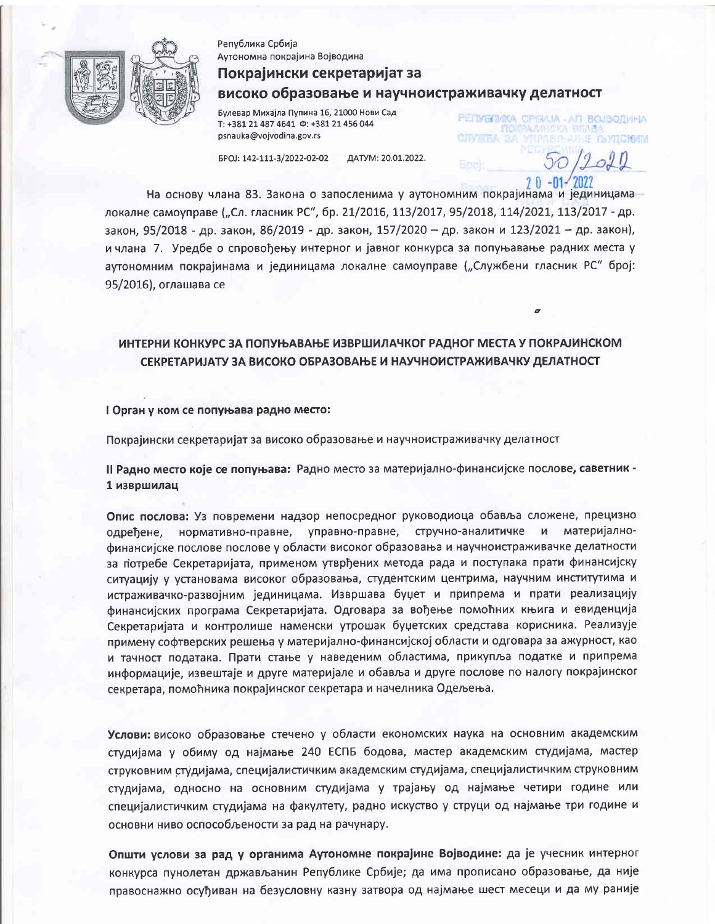

Република Србија Аутономна покрајина Војводина

## Покрајински секретаријат за високо образовање и научноистраживачку делатност

РЕТУВИИКА СРБИЈА - АП ВОЈВОДИНА

**A TUNITISTA** 

**CJTVMTEA** 

Булевар Михајла Пупина 16, 21000 Нови Сад T: +381 21 487 4641  $\Phi$ : +381 21 456 044 psnauka@vojvodina.gov.rs

EPOJ: 142-111-3/2022-02-02 ДАТУМ: 20.01.2022.

На основу члана 83. Закона о запосленима у аутономним покрајинама и јединицама локалне самоуправе ("Сл. гласник РС", бр. 21/2016, 113/2017, 95/2018, 114/2021, 113/2017 - др. закон, 95/2018 - др. закон, 86/2019 - др. закон, 157/2020 - др. закон и 123/2021 - др. закон), и члана 7. Уредбе о спровођењу интерног и јавног конкурса за попуњавање радних места у аутономним покрајинама и јединицама локалне самоуправе ("Службени гласник РС" број: 95/2016), оглашава се

### ИНТЕРНИ КОНКУРС ЗА ПОПУЊАВАЊЕ ИЗВРШИЛАЧКОГ РАДНОГ МЕСТА У ПОКРАЈИНСКОМ СЕКРЕТАРИЈАТУ ЗА ВИСОКО ОБРАЗОВАЊЕ И НАУЧНОИСТРАЖИВАЧКУ ДЕЛАТНОСТ

#### I Орган у ком се попуњава радно место:

Покрајински секретаријат за високо образовање и научноистраживачку делатност

II Радно место које се попуњава: Радно место за материјално-финансијске послове, саветник -1 извршилац

Опис послова: Уз повремени надзор непосредног руководиоца обавља сложене, прецизно одређене, нормативно-правне, управно-правне, стручно-аналитичке и материјалнофинансијске послове послове у области високог образовања и научноистраживачке делатности за потребе Секретаријата, применом утврђених метода рада и поступака прати финансијску ситуацију у установама високог образовања, студентским центрима, научним институтима и истраживачко-развојним јединицама. Извршава буџет и припрема и прати реализацију финансијских програма Секретаријата. Одговара за вођење помоћних књига и евиденција Секретаријата и контролише наменски утрошак буџетских средстава корисника. Реализује примену софтверских решења у материјално-финансијској области и одговара за ажурност, као и тачност података. Прати стање у наведеним областима, прикупља податке и припрема информације, извештаје и друге материјале и обавља и друге послове по налогу покрајинског секретара, помоћника покрајинског секретара и начелника Одељења.

Услови: високо образовање стечено у области економских наука на основним академским студијама у обиму од најмање 240 ЕСПБ бодова, мастер академским студијама, мастер струковним студијама, специјалистичким академским студијама, специјалистичким струковним студијама, односно на основним студијама у трајању од најмање четири године или специјалистичким студијама на факултету, радно искуство у струци од најмање три године и основни ниво оспособљености за рад на рачунару.

Општи услови за рад у органима Аутономне покрајине Војводине: да је учесник интерног конкурса пунолетан држављанин Републике Србије; да има прописано образовање, да није правоснажно осуђиван на безусловну казну затвора од најмање шест месеци и да му раније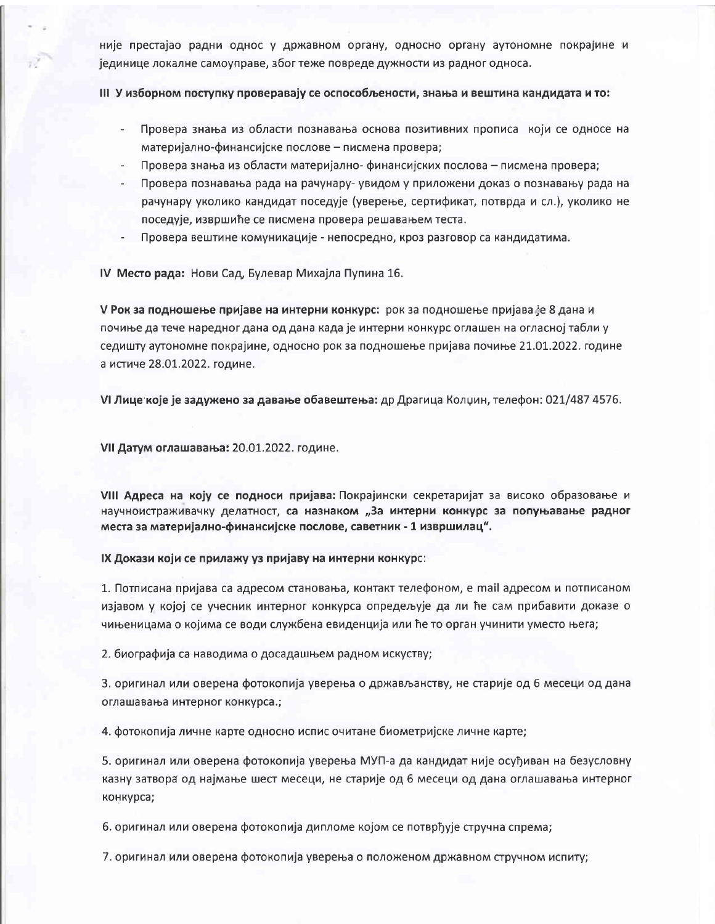није престајао радни однос у државном органу, односно органу аутономне покрајине и јединице локалне самоуправе, због теже повреде дужности из радног односа.

#### III У изборном поступку проверавају се оспособљености, знања и вештина кандидата и то:

- Провера знања из области познавања основа позитивних прописа који се односе на материјално-финансијске послове - писмена провера;
- Провера знања из области материјално- финансијских послова писмена провера;
- Провера познавања рада на рачунару- увидом у приложени доказ о познавању рада на рачунару уколико кандидат поседује (уверење, сертификат, потврда и сл.), уколико не поседује, извршиће се писмена провера решавањем теста.
- Провера вештине комуникације непосредно, кроз разговор са кандидатима.

IV Место рада: Нови Сад, Булевар Михајла Пупина 16.

V Рок за подношење пријаве на интерни конкурс: рок за подношење пријава је 8 дана и почиње да тече наредног дана од дана када је интерни конкурс оглашен на огласној табли у седишту аутономне покрајине, односно рок за подношење пријава почиње 21.01.2022. године а истиче 28.01.2022. године.

VI Лице које је задужено за давање обавештења: др Драгица Колџин, телефон: 021/487 4576.

VII Датум оглашавања: 20.01.2022. године.

VIII Адреса на коју се подноси пријава: Покрајински секретаријат за високо образовање и научноистраживачку делатност, са назнаком "За интерни конкурс за попуњавање радног места за материјално-финансијске послове, саветник - 1 извршилац".

IX Докази који се прилажу уз пријаву на интерни конкурс:

1. Потписана пријава са адресом становања, контакт телефоном, е mail адресом и потписаном изјавом у којој се учесник интерног конкурса опредељује да ли ће сам прибавити доказе о чињеницама о којима се води службена евиденција или ће то орган учинити уместо њега;

2. биографија са наводима о досадашњем радном искуству;

3. оригинал или оверена фотокопија уверења о држављанству, не старије од 6 месеци од дана оглашавања интерног конкурса.;

4. фотокопија личне карте односно испис очитане биометријске личне карте;

5. оригинал или оверена фотокопија уверења МУП-а да кандидат није осуђиван на безусловну казну затвора од најмање шест месеци, не старије од 6 месеци од дана оглашавања интерног конкурса;

6. оригинал или оверена фотокопија дипломе којом се потврђује стручна спрема;

7. оригинал или оверена фотокопија уверења о положеном државном стручном испиту;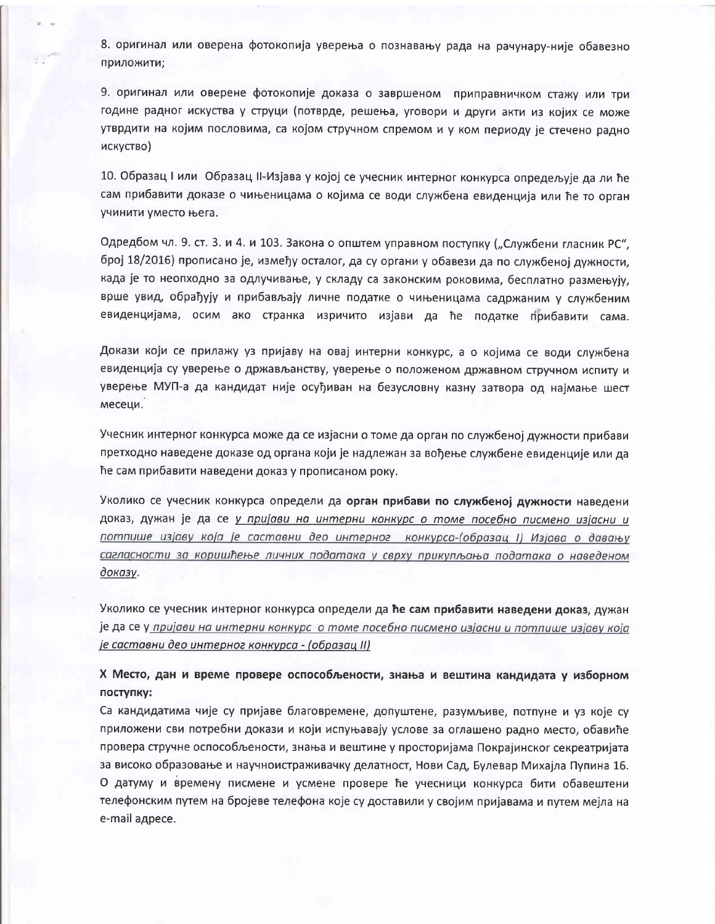8. оригинал или оверена фотокопија уверења о познавању рада на рачунару-није обавезно приложити:

9. оригинал или оверене фотокопије доказа о завршеном приправничком стажу или три године радног искуства у струци (потврде, решења, уговори и други акти из којих се може утврдити на којим пословима, са којом стручном спремом и у ком периоду је стечено радно искуство)

10. Образац I или Образац II-Изјава у којој се учесник интерног конкурса опредељује да ли ће сам прибавити доказе о чињеницама о којима се води службена евиденција или ће то орган учинити уместо њега.

Одредбом чл. 9. ст. 3. и 4. и 103. Закона о општем управном поступку ("Службени гласник РС", број 18/2016) прописано је, између осталог, да су органи у обавези да по службеној дужности, када је то неопходно за одлучивање, у складу са законским роковима, бесплатно размењују, врше увид, обрађују и прибављају личне податке о чињеницама садржаним у службеним евиденцијама, осим ако странка изричито изјави да ће податке прибавити сама.

Докази који се прилажу уз пријаву на овај интерни конкурс, а о којима се води службена евиденција су уверење о држављанству, уверење о положеном државном стручном испиту и уверење МУП-а да кандидат није осуђиван на безусловну казну затвора од најмање шест месеци.

Учесник интерног конкурса може да се изјасни о томе да орган по службеној дужности прибави претходно наведене доказе од органа који је надлежан за вођење службене евиденције или да ће сам прибавити наведени доказ у прописаном року.

Уколико се учесник конкурса определи да орган прибави по службеној дужности наведени доказ, дужан је да се у пријави на интерни конкурс о томе посебно писмено изјасни и потпише изјаву која је саставни део интерног конкурса-(образац I) Изјава о давању сагласности за коришћење личних података у сврху прикупљања података о наведеном доказу.

Уколико се учесник интерног конкурса определи да ће сам прибавити наведени доказ, дужан је да се у пријави на интерни конкурс о томе посебно писмено изјасни и потпише изјаву која је саставни део интерног конкурса - (образац II)

Х Место, дан и време провере оспособљености, знања и вештина кандидата у изборном поступку:

Са кандидатима чије су пријаве благовремене, допуштене, разумљиве, потпуне и уз које су приложени сви потребни докази и који испуњавају услове за оглашено радно место, обавиће провера стручне оспособљености, знања и вештине у просторијама Покрајинског секреатријата за високо образовање и научноистраживачку делатност, Нови Сад, Булевар Михајла Пупина 16. О датуму и времену писмене и усмене провере ће учесници конкурса бити обавештени телефонским путем на бројеве телефона које су доставили у својим пријавама и путем мејла на e-mail адресе.